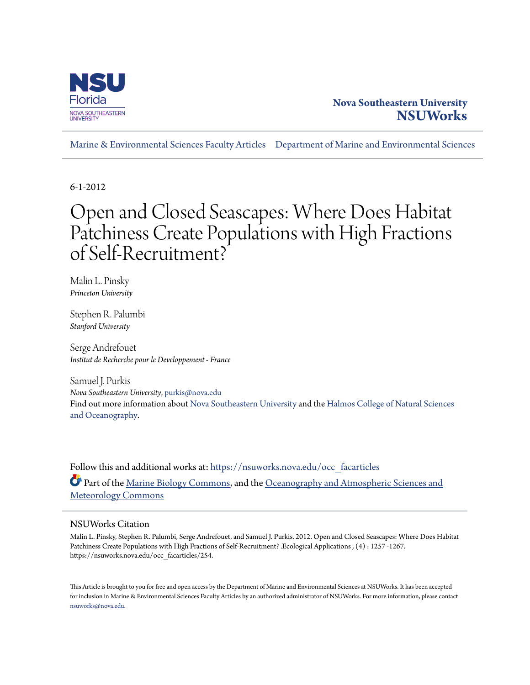

## **Nova Southeastern University [NSUWorks](https://nsuworks.nova.edu?utm_source=nsuworks.nova.edu%2Focc_facarticles%2F254&utm_medium=PDF&utm_campaign=PDFCoverPages)**

[Marine & Environmental Sciences Faculty Articles](https://nsuworks.nova.edu/occ_facarticles?utm_source=nsuworks.nova.edu%2Focc_facarticles%2F254&utm_medium=PDF&utm_campaign=PDFCoverPages) [Department of Marine and Environmental Sciences](https://nsuworks.nova.edu/cnso_mes?utm_source=nsuworks.nova.edu%2Focc_facarticles%2F254&utm_medium=PDF&utm_campaign=PDFCoverPages)

6-1-2012

# Open and Closed Seascapes: Where Does Habitat Patchiness Create Populations with High Fractions of Self-Recruitment?

Malin L. Pinsky *Princeton University*

Stephen R. Palumbi *Stanford University*

Serge Andrefouet *Institut de Recherche pour le Developpement - France*

Samuel J. Purkis *Nova Southeastern University*, purkis@nova.edu Find out more information about [Nova Southeastern University](http://www.nova.edu/) and the [Halmos College of Natural Sciences](https://cnso.nova.edu) [and Oceanography.](https://cnso.nova.edu)

Follow this and additional works at: [https://nsuworks.nova.edu/occ\\_facarticles](https://nsuworks.nova.edu/occ_facarticles?utm_source=nsuworks.nova.edu%2Focc_facarticles%2F254&utm_medium=PDF&utm_campaign=PDFCoverPages) Part of the [Marine Biology Commons,](http://network.bepress.com/hgg/discipline/1126?utm_source=nsuworks.nova.edu%2Focc_facarticles%2F254&utm_medium=PDF&utm_campaign=PDFCoverPages) and the [Oceanography and Atmospheric Sciences and](http://network.bepress.com/hgg/discipline/186?utm_source=nsuworks.nova.edu%2Focc_facarticles%2F254&utm_medium=PDF&utm_campaign=PDFCoverPages) [Meteorology Commons](http://network.bepress.com/hgg/discipline/186?utm_source=nsuworks.nova.edu%2Focc_facarticles%2F254&utm_medium=PDF&utm_campaign=PDFCoverPages)

### NSUWorks Citation

Malin L. Pinsky, Stephen R. Palumbi, Serge Andrefouet, and Samuel J. Purkis. 2012. Open and Closed Seascapes: Where Does Habitat Patchiness Create Populations with High Fractions of Self-Recruitment? .Ecological Applications , (4) : 1257 -1267. https://nsuworks.nova.edu/occ\_facarticles/254.

This Article is brought to you for free and open access by the Department of Marine and Environmental Sciences at NSUWorks. It has been accepted for inclusion in Marine & Environmental Sciences Faculty Articles by an authorized administrator of NSUWorks. For more information, please contact [nsuworks@nova.edu.](mailto:nsuworks@nova.edu)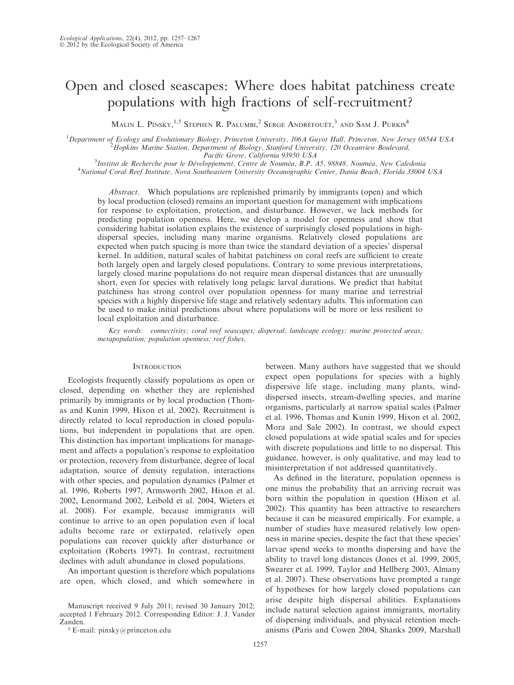## Open and closed seascapes: Where does habitat patchiness create populations with high fractions of self-recruitment?

Malin L. Pinsky, <sup>1,5</sup> Stephen R. Palumbi, <sup>2</sup> Serge Andréfouët, <sup>3</sup> and Sam J. Purkis<sup>4</sup>

<sup>1</sup>Department of Ecology and Evolutionary Biology, Princeton University, 106A Guyot Hall, Princeton, New Jersey 08544 USA<br><sup>2</sup>Honking Marine Station, Department of Biology, Stanford University, 120 Oceanwiew Boulevard  $\hat{H}$ Opkins Marine Station, Department of Biology, Stanford University, 120 Oceanview Boulevard,<br>Pacific Grove, California 93950 USA Pacific Grove, California 93950 USA<br><sup>3</sup> Institut de Peebeueke nous le Développement, Centre de Noumée, P.P.

Institut de Recherche pour le Développement, Centre de Nouméa, B.P. A5, 98848, Nouméa, New Caledonia<sup>4</sup><br>Alational Coral Beat Institute, Nova Southeastan University Oceanographic Center, David Beach, Florida 33004 National Coral Reef Institute, Nova Southeastern University Oceanographic Center, Dania Beach, Florida 33004 USA

Abstract. Which populations are replenished primarily by immigrants (open) and which by local production (closed) remains an important question for management with implications for response to exploitation, protection, and disturbance. However, we lack methods for predicting population openness. Here, we develop a model for openness and show that considering habitat isolation explains the existence of surprisingly closed populations in highdispersal species, including many marine organisms. Relatively closed populations are expected when patch spacing is more than twice the standard deviation of a species' dispersal kernel. In addition, natural scales of habitat patchiness on coral reefs are sufficient to create both largely open and largely closed populations. Contrary to some previous interpretations, largely closed marine populations do not require mean dispersal distances that are unusually short, even for species with relatively long pelagic larval durations. We predict that habitat patchiness has strong control over population openness for many marine and terrestrial species with a highly dispersive life stage and relatively sedentary adults. This information can be used to make initial predictions about where populations will be more or less resilient to local exploitation and disturbance.

Key words: connectivity; coral reef seascapes; dispersal; landscape ecology; marine protected areas; metapopulation; population openness; reef fishes.

#### **INTRODUCTION**

Ecologists frequently classify populations as open or closed, depending on whether they are replenished primarily by immigrants or by local production (Thomas and Kunin 1999, Hixon et al. 2002). Recruitment is directly related to local reproduction in closed populations, but independent in populations that are open. This distinction has important implications for management and affects a population's response to exploitation or protection, recovery from disturbance, degree of local adaptation, source of density regulation, interactions with other species, and population dynamics (Palmer et al. 1996, Roberts 1997, Armsworth 2002, Hixon et al. 2002, Lenormand 2002, Leibold et al. 2004, Wieters et al. 2008). For example, because immigrants will continue to arrive to an open population even if local adults become rare or extirpated, relatively open populations can recover quickly after disturbance or exploitation (Roberts 1997). In contrast, recruitment declines with adult abundance in closed populations.

An important question is therefore which populations are open, which closed, and which somewhere in

Manuscript received 9 July 2011; revised 30 January 2012; accepted 1 February 2012. Corresponding Editor: J. J. Vander Zanden.

<sup>5</sup> E-mail: pinsky@princeton.edu

between. Many authors have suggested that we should expect open populations for species with a highly dispersive life stage, including many plants, winddispersed insects, stream-dwelling species, and marine organisms, particularly at narrow spatial scales (Palmer et al. 1996, Thomas and Kunin 1999, Hixon et al. 2002, Mora and Sale 2002). In contrast, we should expect closed populations at wide spatial scales and for species with discrete populations and little to no dispersal. This guidance, however, is only qualitative, and may lead to misinterpretation if not addressed quantitatively.

As defined in the literature, population openness is one minus the probability that an arriving recruit was born within the population in question (Hixon et al. 2002). This quantity has been attractive to researchers because it can be measured empirically. For example, a number of studies have measured relatively low openness in marine species, despite the fact that these species' larvae spend weeks to months dispersing and have the ability to travel long distances (Jones et al. 1999, 2005, Swearer et al. 1999, Taylor and Hellberg 2003, Almany et al. 2007). These observations have prompted a range of hypotheses for how largely closed populations can arise despite high dispersal abilities. Explanations include natural selection against immigrants, mortality of dispersing individuals, and physical retention mechanisms (Paris and Cowen 2004, Shanks 2009, Marshall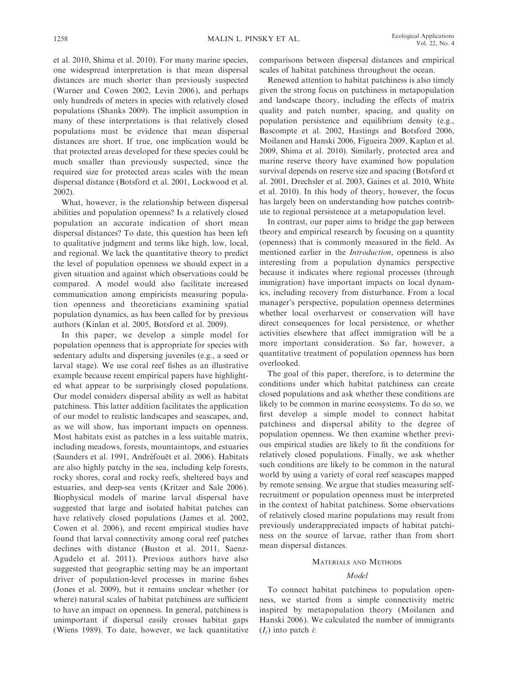et al. 2010, Shima et al. 2010). For many marine species, one widespread interpretation is that mean dispersal distances are much shorter than previously suspected (Warner and Cowen 2002, Levin 2006), and perhaps only hundreds of meters in species with relatively closed populations (Shanks 2009). The implicit assumption in many of these interpretations is that relatively closed populations must be evidence that mean dispersal distances are short. If true, one implication would be that protected areas developed for these species could be much smaller than previously suspected, since the required size for protected areas scales with the mean dispersal distance (Botsford et al. 2001, Lockwood et al. 2002).

What, however, is the relationship between dispersal abilities and population openness? Is a relatively closed population an accurate indication of short mean dispersal distances? To date, this question has been left to qualitative judgment and terms like high, low, local, and regional. We lack the quantitative theory to predict the level of population openness we should expect in a given situation and against which observations could be compared. A model would also facilitate increased communication among empiricists measuring population openness and theoreticians examining spatial population dynamics, as has been called for by previous authors (Kinlan et al. 2005, Botsford et al. 2009).

In this paper, we develop a simple model for population openness that is appropriate for species with sedentary adults and dispersing juveniles (e.g., a seed or larval stage). We use coral reef fishes as an illustrative example because recent empirical papers have highlighted what appear to be surprisingly closed populations. Our model considers dispersal ability as well as habitat patchiness. This latter addition facilitates the application of our model to realistic landscapes and seascapes, and, as we will show, has important impacts on openness. Most habitats exist as patches in a less suitable matrix, including meadows, forests, mountaintops, and estuaries (Saunders et al. 1991, Andréfouët et al. 2006). Habitats are also highly patchy in the sea, including kelp forests, rocky shores, coral and rocky reefs, sheltered bays and estuaries, and deep-sea vents (Kritzer and Sale 2006). Biophysical models of marine larval dispersal have suggested that large and isolated habitat patches can have relatively closed populations (James et al. 2002, Cowen et al. 2006), and recent empirical studies have found that larval connectivity among coral reef patches declines with distance (Buston et al. 2011, Saenz-Agudelo et al. 2011). Previous authors have also suggested that geographic setting may be an important driver of population-level processes in marine fishes (Jones et al. 2009), but it remains unclear whether (or where) natural scales of habitat patchiness are sufficient to have an impact on openness. In general, patchiness is unimportant if dispersal easily crosses habitat gaps (Wiens 1989). To date, however, we lack quantitative

comparisons between dispersal distances and empirical scales of habitat patchiness throughout the ocean.

Renewed attention to habitat patchiness is also timely given the strong focus on patchiness in metapopulation and landscape theory, including the effects of matrix quality and patch number, spacing, and quality on population persistence and equilibrium density (e.g., Bascompte et al. 2002, Hastings and Botsford 2006, Moilanen and Hanski 2006, Figueira 2009, Kaplan et al. 2009, Shima et al. 2010). Similarly, protected area and marine reserve theory have examined how population survival depends on reserve size and spacing (Botsford et al. 2001, Drechsler et al. 2003, Gaines et al. 2010, White et al. 2010). In this body of theory, however, the focus has largely been on understanding how patches contribute to regional persistence at a metapopulation level.

In contrast, our paper aims to bridge the gap between theory and empirical research by focusing on a quantity (openness) that is commonly measured in the field. As mentioned earlier in the Introduction, openness is also interesting from a population dynamics perspective because it indicates where regional processes (through immigration) have important impacts on local dynamics, including recovery from disturbance. From a local manager's perspective, population openness determines whether local overharvest or conservation will have direct consequences for local persistence, or whether activities elsewhere that affect immigration will be a more important consideration. So far, however, a quantitative treatment of population openness has been overlooked.

The goal of this paper, therefore, is to determine the conditions under which habitat patchiness can create closed populations and ask whether these conditions are likely to be common in marine ecosystems. To do so, we first develop a simple model to connect habitat patchiness and dispersal ability to the degree of population openness. We then examine whether previous empirical studies are likely to fit the conditions for relatively closed populations. Finally, we ask whether such conditions are likely to be common in the natural world by using a variety of coral reef seascapes mapped by remote sensing. We argue that studies measuring selfrecruitment or population openness must be interpreted in the context of habitat patchiness. Some observations of relatively closed marine populations may result from previously underappreciated impacts of habitat patchiness on the source of larvae, rather than from short mean dispersal distances.

#### MATERIALS AND METHODS

#### Model

To connect habitat patchiness to population openness, we started from a simple connectivity metric inspired by metapopulation theory (Moilanen and Hanski 2006). We calculated the number of immigrants  $(I_i)$  into patch *i*: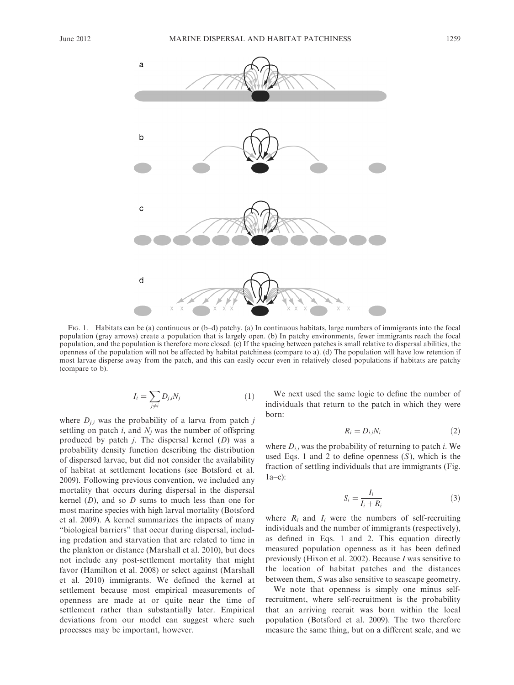

FIG. 1. Habitats can be (a) continuous or (b–d) patchy. (a) In continuous habitats, large numbers of immigrants into the focal population (gray arrows) create a population that is largely open. (b) In patchy environments, fewer immigrants reach the focal population, and the population is therefore more closed. (c) If the spacing between patches is small relative to dispersal abilities, the openness of the population will not be affected by habitat patchiness (compare to a). (d) The population will have low retention if most larvae disperse away from the patch, and this can easily occur even in relatively closed populations if habitats are patchy (compare to b).

$$
I_i = \sum_{j \neq i} D_{j,i} N_j \tag{1}
$$

where  $D_{ij}$  was the probability of a larva from patch j settling on patch i, and  $N_i$  was the number of offspring produced by patch  $j$ . The dispersal kernel  $(D)$  was a probability density function describing the distribution of dispersed larvae, but did not consider the availability of habitat at settlement locations (see Botsford et al. 2009). Following previous convention, we included any mortality that occurs during dispersal in the dispersal kernel  $(D)$ , and so  $D$  sums to much less than one for most marine species with high larval mortality (Botsford et al. 2009). A kernel summarizes the impacts of many ''biological barriers'' that occur during dispersal, including predation and starvation that are related to time in the plankton or distance (Marshall et al. 2010), but does not include any post-settlement mortality that might favor (Hamilton et al. 2008) or select against (Marshall et al. 2010) immigrants. We defined the kernel at settlement because most empirical measurements of openness are made at or quite near the time of settlement rather than substantially later. Empirical deviations from our model can suggest where such processes may be important, however.

We next used the same logic to define the number of individuals that return to the patch in which they were born:

$$
R_i = D_{i,i} N_i \tag{2}
$$

where  $D_{i,i}$  was the probability of returning to patch i. We used Eqs. 1 and 2 to define openness  $(S)$ , which is the fraction of settling individuals that are immigrants (Fig.  $1a-c$ :

$$
S_i = \frac{I_i}{I_i + R_i} \tag{3}
$$

where  $R_i$  and  $I_i$  were the numbers of self-recruiting individuals and the number of immigrants (respectively), as defined in Eqs. 1 and 2. This equation directly measured population openness as it has been defined previously (Hixon et al. 2002). Because I was sensitive to the location of habitat patches and the distances between them, S was also sensitive to seascape geometry.

We note that openness is simply one minus selfrecruitment, where self-recruitment is the probability that an arriving recruit was born within the local population (Botsford et al. 2009). The two therefore measure the same thing, but on a different scale, and we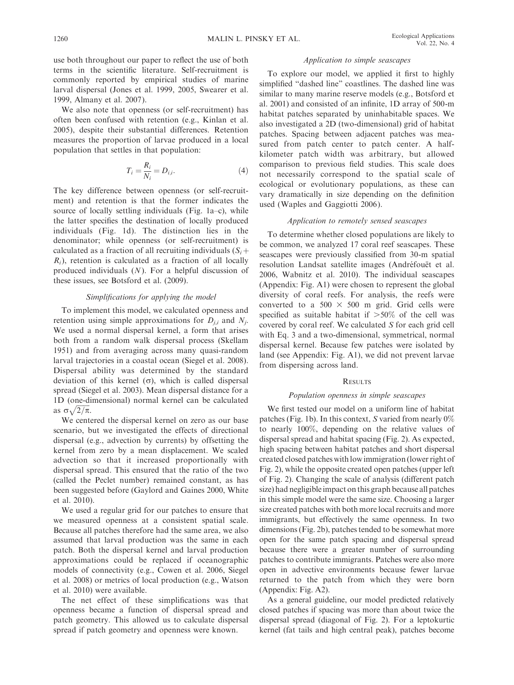use both throughout our paper to reflect the use of both terms in the scientific literature. Self-recruitment is commonly reported by empirical studies of marine larval dispersal (Jones et al. 1999, 2005, Swearer et al. 1999, Almany et al. 2007).

We also note that openness (or self-recruitment) has often been confused with retention (e.g., Kinlan et al. 2005), despite their substantial differences. Retention measures the proportion of larvae produced in a local population that settles in that population:

$$
T_i = \frac{R_i}{N_i} = D_{i,i}.\tag{4}
$$

The key difference between openness (or self-recruitment) and retention is that the former indicates the source of locally settling individuals (Fig. 1a–c), while the latter specifies the destination of locally produced individuals (Fig. 1d). The distinction lies in the denominator; while openness (or self-recruitment) is calculated as a fraction of all recruiting individuals  $(S<sub>i</sub>)$  $R_i$ ), retention is calculated as a fraction of all locally produced individuals (N). For a helpful discussion of these issues, see Botsford et al. (2009).

#### Simplifications for applying the model

To implement this model, we calculated openness and retention using simple approximations for  $D_{i,i}$  and  $N_i$ . We used a normal dispersal kernel, a form that arises both from a random walk dispersal process (Skellam 1951) and from averaging across many quasi-random larval trajectories in a coastal ocean (Siegel et al. 2008). Dispersal ability was determined by the standard deviation of this kernel  $(\sigma)$ , which is called dispersal spread (Siegel et al. 2003). Mean dispersal distance for a 1D (one-dimensional) normal kernel can be calculated as  $\sigma \sqrt{2/\pi}$ .

We centered the dispersal kernel on zero as our base scenario, but we investigated the effects of directional dispersal (e.g., advection by currents) by offsetting the kernel from zero by a mean displacement. We scaled advection so that it increased proportionally with dispersal spread. This ensured that the ratio of the two (called the Peclet number) remained constant, as has been suggested before (Gaylord and Gaines 2000, White et al. 2010).

We used a regular grid for our patches to ensure that we measured openness at a consistent spatial scale. Because all patches therefore had the same area, we also assumed that larval production was the same in each patch. Both the dispersal kernel and larval production approximations could be replaced if oceanographic models of connectivity (e.g., Cowen et al. 2006, Siegel et al. 2008) or metrics of local production (e.g., Watson et al. 2010) were available.

The net effect of these simplifications was that openness became a function of dispersal spread and patch geometry. This allowed us to calculate dispersal spread if patch geometry and openness were known.

#### Application to simple seascapes

To explore our model, we applied it first to highly simplified "dashed line" coastlines. The dashed line was similar to many marine reserve models (e.g., Botsford et al. 2001) and consisted of an infinite, 1D array of 500-m habitat patches separated by uninhabitable spaces. We also investigated a 2D (two-dimensional) grid of habitat patches. Spacing between adjacent patches was measured from patch center to patch center. A halfkilometer patch width was arbitrary, but allowed comparison to previous field studies. This scale does not necessarily correspond to the spatial scale of ecological or evolutionary populations, as these can vary dramatically in size depending on the definition used (Waples and Gaggiotti 2006).

#### Application to remotely sensed seascapes

To determine whether closed populations are likely to be common, we analyzed 17 coral reef seascapes. These seascapes were previously classified from 30-m spatial resolution Landsat satellite images (Andréfouët et al. 2006, Wabnitz et al. 2010). The individual seascapes (Appendix: Fig. A1) were chosen to represent the global diversity of coral reefs. For analysis, the reefs were converted to a  $500 \times 500$  m grid. Grid cells were specified as suitable habitat if  $>50\%$  of the cell was covered by coral reef. We calculated S for each grid cell with Eq. 3 and a two-dimensional, symmetrical, normal dispersal kernel. Because few patches were isolated by land (see Appendix: Fig. A1), we did not prevent larvae from dispersing across land.

#### **RESULTS**

#### Population openness in simple seascapes

We first tested our model on a uniform line of habitat patches (Fig. 1b). In this context, S varied from nearly 0% to nearly 100%, depending on the relative values of dispersal spread and habitat spacing (Fig. 2). As expected, high spacing between habitat patches and short dispersal created closed patches with low immigration (lower right of Fig. 2), while the opposite created open patches (upper left of Fig. 2). Changing the scale of analysis (different patch size) had negligible impact on this graph because all patches in this simple model were the same size. Choosing a larger size created patches with both more local recruits and more immigrants, but effectively the same openness. In two dimensions (Fig. 2b), patches tended to be somewhat more open for the same patch spacing and dispersal spread because there were a greater number of surrounding patches to contribute immigrants. Patches were also more open in advective environments because fewer larvae returned to the patch from which they were born (Appendix: Fig. A2).

As a general guideline, our model predicted relatively closed patches if spacing was more than about twice the dispersal spread (diagonal of Fig. 2). For a leptokurtic kernel (fat tails and high central peak), patches become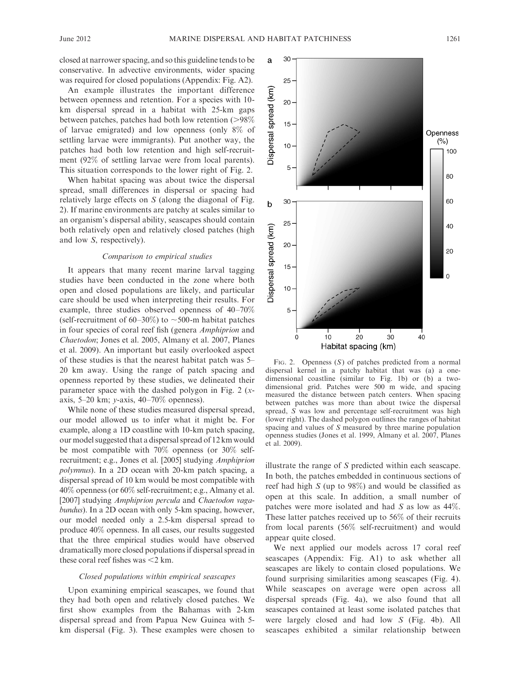closed at narrower spacing, and so this guideline tends to be conservative. In advective environments, wider spacing was required for closed populations (Appendix: Fig. A2).

An example illustrates the important difference between openness and retention. For a species with 10 km dispersal spread in a habitat with 25-km gaps between patches, patches had both low retention  $(>\!\!98\%)$ of larvae emigrated) and low openness (only 8% of settling larvae were immigrants). Put another way, the patches had both low retention and high self-recruitment (92% of settling larvae were from local parents). This situation corresponds to the lower right of Fig. 2.

When habitat spacing was about twice the dispersal spread, small differences in dispersal or spacing had relatively large effects on S (along the diagonal of Fig. 2). If marine environments are patchy at scales similar to an organism's dispersal ability, seascapes should contain both relatively open and relatively closed patches (high and low S, respectively).

#### Comparison to empirical studies

It appears that many recent marine larval tagging studies have been conducted in the zone where both open and closed populations are likely, and particular care should be used when interpreting their results. For example, three studies observed openness of 40–70% (self-recruitment of 60–30%) to  $\sim$  500-m habitat patches in four species of coral reef fish (genera Amphiprion and Chaetodon; Jones et al. 2005, Almany et al. 2007, Planes et al. 2009). An important but easily overlooked aspect of these studies is that the nearest habitat patch was 5– 20 km away. Using the range of patch spacing and openness reported by these studies, we delineated their parameter space with the dashed polygon in Fig. 2 (xaxis, 5–20 km; y-axis, 40–70% openness).

While none of these studies measured dispersal spread, our model allowed us to infer what it might be. For example, along a 1D coastline with 10-km patch spacing, our model suggested that a dispersal spread of 12 km would be most compatible with 70% openness (or 30% selfrecruitment; e.g., Jones et al. [2005] studying Amphiprion polymnus). In a 2D ocean with 20-km patch spacing, a dispersal spread of 10 km would be most compatible with 40% openness (or 60% self-recruitment; e.g., Almany et al. [2007] studying Amphiprion percula and Chaetodon vagabundus). In a 2D ocean with only 5-km spacing, however, our model needed only a 2.5-km dispersal spread to produce 40% openness. In all cases, our results suggested that the three empirical studies would have observed dramatically more closed populations if dispersal spread in these coral reef fishes was  $\leq$ 2 km.

#### Closed populations within empirical seascapes

Upon examining empirical seascapes, we found that they had both open and relatively closed patches. We first show examples from the Bahamas with 2-km dispersal spread and from Papua New Guinea with 5 km dispersal (Fig. 3). These examples were chosen to



FIG. 2. Openness  $(S)$  of patches predicted from a normal dispersal kernel in a patchy habitat that was (a) a onedimensional coastline (similar to Fig. 1b) or (b) a twodimensional grid. Patches were 500 m wide, and spacing measured the distance between patch centers. When spacing between patches was more than about twice the dispersal spread, S was low and percentage self-recruitment was high (lower right). The dashed polygon outlines the ranges of habitat spacing and values of S measured by three marine population openness studies (Jones et al. 1999, Almany et al. 2007, Planes et al. 2009).

illustrate the range of S predicted within each seascape. In both, the patches embedded in continuous sections of reef had high  $S$  (up to 98%) and would be classified as open at this scale. In addition, a small number of patches were more isolated and had S as low as 44%. These latter patches received up to 56% of their recruits from local parents (56% self-recruitment) and would appear quite closed.

We next applied our models across 17 coral reef seascapes (Appendix: Fig. A1) to ask whether all seascapes are likely to contain closed populations. We found surprising similarities among seascapes (Fig. 4). While seascapes on average were open across all dispersal spreads (Fig. 4a), we also found that all seascapes contained at least some isolated patches that were largely closed and had low S (Fig. 4b). All seascapes exhibited a similar relationship between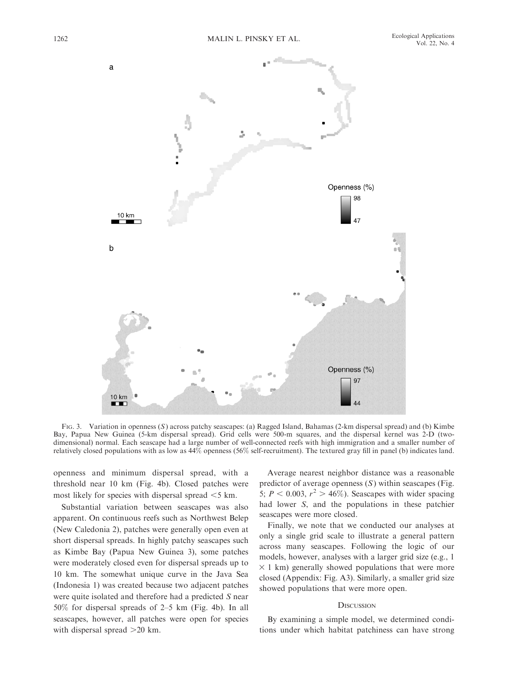

FIG. 3. Variation in openness (S) across patchy seascapes: (a) Ragged Island, Bahamas (2-km dispersal spread) and (b) Kimbe Bay, Papua New Guinea (5-km dispersal spread). Grid cells were 500-m squares, and the dispersal kernel was 2-D (twodimensional) normal. Each seascape had a large number of well-connected reefs with high immigration and a smaller number of relatively closed populations with as low as 44% openness (56% self-recruitment). The textured gray fill in panel (b) indicates land.

openness and minimum dispersal spread, with a threshold near 10 km (Fig. 4b). Closed patches were most likely for species with dispersal spread  $\leq$ 5 km.

Substantial variation between seascapes was also apparent. On continuous reefs such as Northwest Belep (New Caledonia 2), patches were generally open even at short dispersal spreads. In highly patchy seascapes such as Kimbe Bay (Papua New Guinea 3), some patches were moderately closed even for dispersal spreads up to 10 km. The somewhat unique curve in the Java Sea (Indonesia 1) was created because two adjacent patches were quite isolated and therefore had a predicted S near 50% for dispersal spreads of 2–5 km (Fig. 4b). In all seascapes, however, all patches were open for species with dispersal spread  $>20$  km.

Average nearest neighbor distance was a reasonable predictor of average openness  $(S)$  within seascapes (Fig. 5;  $P < 0.003$ ,  $r^2 > 46\%$ ). Seascapes with wider spacing had lower S, and the populations in these patchier seascapes were more closed.

Finally, we note that we conducted our analyses at only a single grid scale to illustrate a general pattern across many seascapes. Following the logic of our models, however, analyses with a larger grid size (e.g., 1  $\times$  1 km) generally showed populations that were more closed (Appendix: Fig. A3). Similarly, a smaller grid size showed populations that were more open.

#### **DISCUSSION**

By examining a simple model, we determined conditions under which habitat patchiness can have strong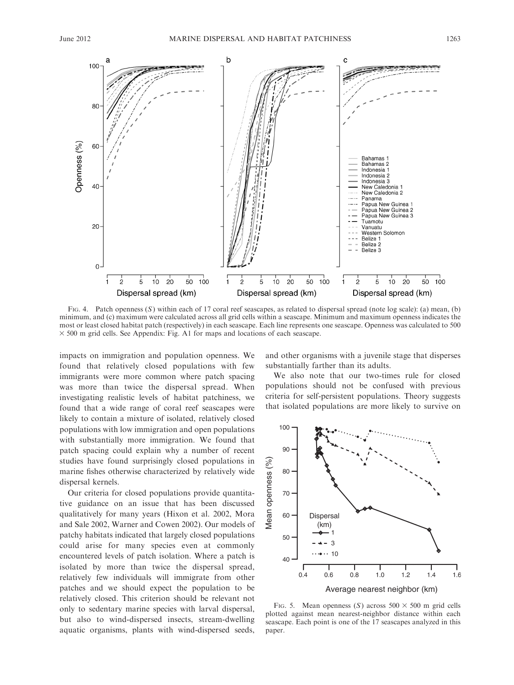

FIG. 4. Patch openness  $(S)$  within each of 17 coral reef seascapes, as related to dispersal spread (note log scale): (a) mean, (b) minimum, and (c) maximum were calculated across all grid cells within a seascape. Minimum and maximum openness indicates the most or least closed habitat patch (respectively) in each seascape. Each line represents one seascape. Openness was calculated to 500  $\times$  500 m grid cells. See Appendix: Fig. A1 for maps and locations of each seascape.

impacts on immigration and population openness. We found that relatively closed populations with few immigrants were more common where patch spacing was more than twice the dispersal spread. When investigating realistic levels of habitat patchiness, we found that a wide range of coral reef seascapes were likely to contain a mixture of isolated, relatively closed populations with low immigration and open populations with substantially more immigration. We found that patch spacing could explain why a number of recent studies have found surprisingly closed populations in marine fishes otherwise characterized by relatively wide dispersal kernels.

Our criteria for closed populations provide quantitative guidance on an issue that has been discussed qualitatively for many years (Hixon et al. 2002, Mora and Sale 2002, Warner and Cowen 2002). Our models of patchy habitats indicated that largely closed populations could arise for many species even at commonly encountered levels of patch isolation. Where a patch is isolated by more than twice the dispersal spread, relatively few individuals will immigrate from other patches and we should expect the population to be relatively closed. This criterion should be relevant not only to sedentary marine species with larval dispersal, but also to wind-dispersed insects, stream-dwelling aquatic organisms, plants with wind-dispersed seeds, and other organisms with a juvenile stage that disperses substantially farther than its adults.

We also note that our two-times rule for closed populations should not be confused with previous criteria for self-persistent populations. Theory suggests that isolated populations are more likely to survive on



FIG. 5. Mean openness (S) across  $500 \times 500$  m grid cells plotted against mean nearest-neighbor distance within each seascape. Each point is one of the 17 seascapes analyzed in this paper.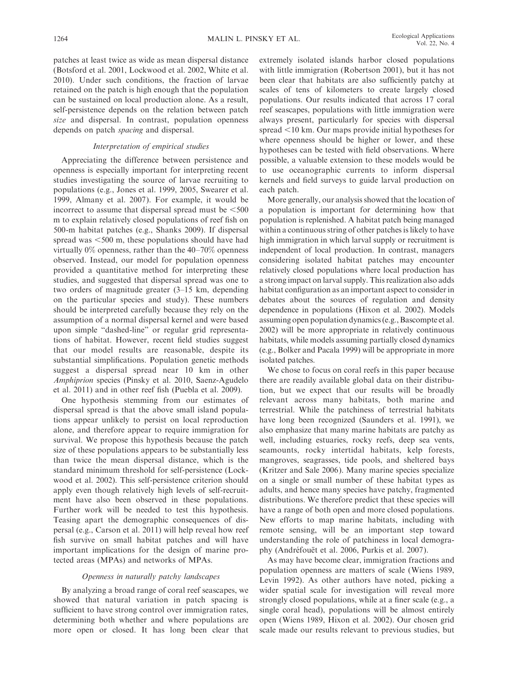patches at least twice as wide as mean dispersal distance (Botsford et al. 2001, Lockwood et al. 2002, White et al. 2010). Under such conditions, the fraction of larvae retained on the patch is high enough that the population can be sustained on local production alone. As a result, self-persistence depends on the relation between patch size and dispersal. In contrast, population openness depends on patch spacing and dispersal.

#### Interpretation of empirical studies

Appreciating the difference between persistence and openness is especially important for interpreting recent studies investigating the source of larvae recruiting to populations (e.g., Jones et al. 1999, 2005, Swearer et al. 1999, Almany et al. 2007). For example, it would be incorrect to assume that dispersal spread must be  $<500$ m to explain relatively closed populations of reef fish on 500-m habitat patches (e.g., Shanks 2009). If dispersal spread was  $<$  500 m, these populations should have had virtually 0% openness, rather than the 40–70% openness observed. Instead, our model for population openness provided a quantitative method for interpreting these studies, and suggested that dispersal spread was one to two orders of magnitude greater (3–15 km, depending on the particular species and study). These numbers should be interpreted carefully because they rely on the assumption of a normal dispersal kernel and were based upon simple ''dashed-line'' or regular grid representations of habitat. However, recent field studies suggest that our model results are reasonable, despite its substantial simplifications. Population genetic methods suggest a dispersal spread near 10 km in other Amphiprion species (Pinsky et al. 2010, Saenz-Agudelo et al. 2011) and in other reef fish (Puebla et al. 2009).

One hypothesis stemming from our estimates of dispersal spread is that the above small island populations appear unlikely to persist on local reproduction alone, and therefore appear to require immigration for survival. We propose this hypothesis because the patch size of these populations appears to be substantially less than twice the mean dispersal distance, which is the standard minimum threshold for self-persistence (Lockwood et al. 2002). This self-persistence criterion should apply even though relatively high levels of self-recruitment have also been observed in these populations. Further work will be needed to test this hypothesis. Teasing apart the demographic consequences of dispersal (e.g., Carson et al. 2011) will help reveal how reef fish survive on small habitat patches and will have important implications for the design of marine protected areas (MPAs) and networks of MPAs.

#### Openness in naturally patchy landscapes

By analyzing a broad range of coral reef seascapes, we showed that natural variation in patch spacing is sufficient to have strong control over immigration rates, determining both whether and where populations are more open or closed. It has long been clear that

extremely isolated islands harbor closed populations with little immigration (Robertson 2001), but it has not been clear that habitats are also sufficiently patchy at scales of tens of kilometers to create largely closed populations. Our results indicated that across 17 coral reef seascapes, populations with little immigration were always present, particularly for species with dispersal spread  $<$ 10 km. Our maps provide initial hypotheses for where openness should be higher or lower, and these hypotheses can be tested with field observations. Where possible, a valuable extension to these models would be to use oceanographic currents to inform dispersal kernels and field surveys to guide larval production on each patch.

More generally, our analysis showed that the location of a population is important for determining how that population is replenished. A habitat patch being managed within a continuous string of other patches is likely to have high immigration in which larval supply or recruitment is independent of local production. In contrast, managers considering isolated habitat patches may encounter relatively closed populations where local production has a strong impact on larval supply. This realization also adds habitat configuration as an important aspect to consider in debates about the sources of regulation and density dependence in populations (Hixon et al. 2002). Models assuming open population dynamics (e.g., Bascompte et al. 2002) will be more appropriate in relatively continuous habitats, while models assuming partially closed dynamics (e.g., Bolker and Pacala 1999) will be appropriate in more isolated patches.

We chose to focus on coral reefs in this paper because there are readily available global data on their distribution, but we expect that our results will be broadly relevant across many habitats, both marine and terrestrial. While the patchiness of terrestrial habitats have long been recognized (Saunders et al. 1991), we also emphasize that many marine habitats are patchy as well, including estuaries, rocky reefs, deep sea vents, seamounts, rocky intertidal habitats, kelp forests, mangroves, seagrasses, tide pools, and sheltered bays (Kritzer and Sale 2006). Many marine species specialize on a single or small number of these habitat types as adults, and hence many species have patchy, fragmented distributions. We therefore predict that these species will have a range of both open and more closed populations. New efforts to map marine habitats, including with remote sensing, will be an important step toward understanding the role of patchiness in local demography (Andréfouët et al. 2006, Purkis et al. 2007).

As may have become clear, immigration fractions and population openness are matters of scale (Wiens 1989, Levin 1992). As other authors have noted, picking a wider spatial scale for investigation will reveal more strongly closed populations, while at a finer scale (e.g., a single coral head), populations will be almost entirely open (Wiens 1989, Hixon et al. 2002). Our chosen grid scale made our results relevant to previous studies, but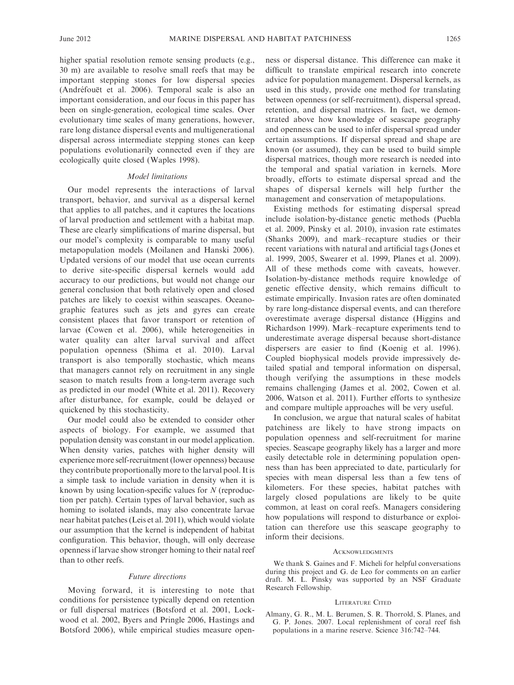higher spatial resolution remote sensing products (e.g., 30 m) are available to resolve small reefs that may be important stepping stones for low dispersal species (Andréfouët et al. 2006). Temporal scale is also an important consideration, and our focus in this paper has been on single-generation, ecological time scales. Over evolutionary time scales of many generations, however, rare long distance dispersal events and multigenerational dispersal across intermediate stepping stones can keep populations evolutionarily connected even if they are ecologically quite closed (Waples 1998).

#### Model limitations

Our model represents the interactions of larval transport, behavior, and survival as a dispersal kernel that applies to all patches, and it captures the locations of larval production and settlement with a habitat map. These are clearly simplifications of marine dispersal, but our model's complexity is comparable to many useful metapopulation models (Moilanen and Hanski 2006). Updated versions of our model that use ocean currents to derive site-specific dispersal kernels would add accuracy to our predictions, but would not change our general conclusion that both relatively open and closed patches are likely to coexist within seascapes. Oceanographic features such as jets and gyres can create consistent places that favor transport or retention of larvae (Cowen et al. 2006), while heterogeneities in water quality can alter larval survival and affect population openness (Shima et al. 2010). Larval transport is also temporally stochastic, which means that managers cannot rely on recruitment in any single season to match results from a long-term average such as predicted in our model (White et al. 2011). Recovery after disturbance, for example, could be delayed or quickened by this stochasticity.

Our model could also be extended to consider other aspects of biology. For example, we assumed that population density was constant in our model application. When density varies, patches with higher density will experience more self-recruitment (lower openness) because they contribute proportionally more to the larval pool. It is a simple task to include variation in density when it is known by using location-specific values for N (reproduction per patch). Certain types of larval behavior, such as homing to isolated islands, may also concentrate larvae near habitat patches (Leis et al. 2011), which would violate our assumption that the kernel is independent of habitat configuration. This behavior, though, will only decrease openness if larvae show stronger homing to their natal reef than to other reefs.

#### Future directions

Moving forward, it is interesting to note that conditions for persistence typically depend on retention or full dispersal matrices (Botsford et al. 2001, Lockwood et al. 2002, Byers and Pringle 2006, Hastings and Botsford 2006), while empirical studies measure openness or dispersal distance. This difference can make it difficult to translate empirical research into concrete advice for population management. Dispersal kernels, as used in this study, provide one method for translating between openness (or self-recruitment), dispersal spread, retention, and dispersal matrices. In fact, we demonstrated above how knowledge of seascape geography and openness can be used to infer dispersal spread under certain assumptions. If dispersal spread and shape are known (or assumed), they can be used to build simple dispersal matrices, though more research is needed into the temporal and spatial variation in kernels. More broadly, efforts to estimate dispersal spread and the shapes of dispersal kernels will help further the management and conservation of metapopulations.

Existing methods for estimating dispersal spread include isolation-by-distance genetic methods (Puebla et al. 2009, Pinsky et al. 2010), invasion rate estimates (Shanks 2009), and mark–recapture studies or their recent variations with natural and artificial tags (Jones et al. 1999, 2005, Swearer et al. 1999, Planes et al. 2009). All of these methods come with caveats, however. Isolation-by-distance methods require knowledge of genetic effective density, which remains difficult to estimate empirically. Invasion rates are often dominated by rare long-distance dispersal events, and can therefore overestimate average dispersal distance (Higgins and Richardson 1999). Mark–recapture experiments tend to underestimate average dispersal because short-distance dispersers are easier to find (Koenig et al. 1996). Coupled biophysical models provide impressively detailed spatial and temporal information on dispersal, though verifying the assumptions in these models remains challenging (James et al. 2002, Cowen et al. 2006, Watson et al. 2011). Further efforts to synthesize and compare multiple approaches will be very useful.

In conclusion, we argue that natural scales of habitat patchiness are likely to have strong impacts on population openness and self-recruitment for marine species. Seascape geography likely has a larger and more easily detectable role in determining population openness than has been appreciated to date, particularly for species with mean dispersal less than a few tens of kilometers. For these species, habitat patches with largely closed populations are likely to be quite common, at least on coral reefs. Managers considering how populations will respond to disturbance or exploitation can therefore use this seascape geography to inform their decisions.

#### A CV NOWLEDGMENTS

We thank S. Gaines and F. Micheli for helpful conversations during this project and G. de Leo for comments on an earlier draft. M. L. Pinsky was supported by an NSF Graduate Research Fellowship.

#### LITERATURE CITED

Almany, G. R., M. L. Berumen, S. R. Thorrold, S. Planes, and G. P. Jones. 2007. Local replenishment of coral reef fish populations in a marine reserve. Science 316:742–744.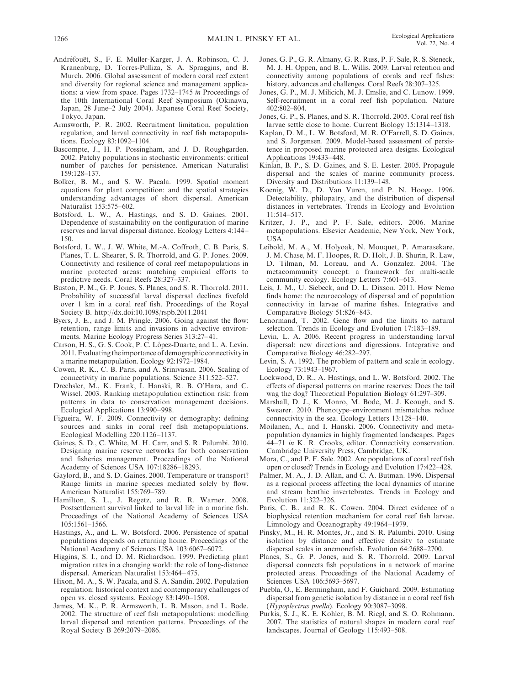- Andréfouët, S., F. E. Muller-Karger, J. A. Robinson, C. J. Kranenburg, D. Torres-Pulliza, S. A. Spraggins, and B. Murch. 2006. Global assessment of modern coral reef extent and diversity for regional science and management applications: a view from space. Pages 1732–1745 in Proceedings of the 10th International Coral Reef Symposium (Okinawa, Japan, 28 June–2 July 2004). Japanese Coral Reef Society, Tokyo, Japan.
- Armsworth, P. R. 2002. Recruitment limitation, population regulation, and larval connectivity in reef fish metapopulations. Ecology 83:1092–1104.
- Bascompte, J., H. P. Possingham, and J. D. Roughgarden. 2002. Patchy populations in stochastic environments: critical number of patches for persistence. American Naturalist 159:128–137.
- Bolker, B. M., and S. W. Pacala. 1999. Spatial moment equations for plant competition: and the spatial strategies understanding advantages of short dispersal. American Naturalist 153:575–602.
- Botsford, L. W., A. Hastings, and S. D. Gaines. 2001. Dependence of sustainability on the configuration of marine reserves and larval dispersal distance. Ecology Letters 4:144– 150.
- Botsford, L. W., J. W. White, M.-A. Coffroth, C. B. Paris, S. Planes, T. L. Shearer, S. R. Thorrold, and G. P. Jones. 2009. Connectivity and resilience of coral reef metapopulations in marine protected areas: matching empirical efforts to predictive needs. Coral Reefs 28:327–337.
- Buston, P. M., G. P. Jones, S. Planes, and S. R. Thorrold. 2011. Probability of successful larval dispersal declines fivefold over 1 km in a coral reef fish. Proceedings of the Royal Society B. http://dx.doi:10.1098/rspb.2011.2041
- Byers, J. E., and J. M. Pringle. 2006. Going against the flow: retention, range limits and invasions in advective environments. Marine Ecology Progress Series 313:27–41.
- Carson, H. S., G. S. Cook, P. C. López-Duarte, and L. A. Levin. 2011. Evaluating the importance of demographic connectivityin a marine metapopulation. Ecology 92:1972–1984.
- Cowen, R. K., C. B. Paris, and A. Srinivasan. 2006. Scaling of connectivity in marine populations. Science 311:522–527.
- Drechsler, M., K. Frank, I. Hanski, R. B. O'Hara, and C. Wissel. 2003. Ranking metapopulation extinction risk: from patterns in data to conservation management decisions. Ecological Applications 13:990–998.
- Figueira, W. F. 2009. Connectivity or demography: defining sources and sinks in coral reef fish metapopulations. Ecological Modelling 220:1126–1137.
- Gaines, S. D., C. White, M. H. Carr, and S. R. Palumbi. 2010. Designing marine reserve networks for both conservation and fisheries management. Proceedings of the National Academy of Sciences USA 107:18286–18293.
- Gaylord, B., and S. D. Gaines. 2000. Temperature or transport? Range limits in marine species mediated solely by flow. American Naturalist 155:769–789.
- Hamilton, S. L., J. Regetz, and R. R. Warner. 2008. Postsettlement survival linked to larval life in a marine fish. Proceedings of the National Academy of Sciences USA 105:1561–1566.
- Hastings, A., and L. W. Botsford. 2006. Persistence of spatial populations depends on returning home. Proceedings of the National Academy of Sciences USA 103:6067–6072.
- Higgins, S. I., and D. M. Richardson. 1999. Predicting plant migration rates in a changing world: the role of long-distance dispersal. American Naturalist 153:464–475.
- Hixon, M. A., S. W. Pacala, and S. A. Sandin. 2002. Population regulation: historical context and contemporary challenges of open vs. closed systems. Ecology 83:1490–1508.
- James, M. K., P. R. Armsworth, L. B. Mason, and L. Bode. 2002. The structure of reef fish metapopulations: modelling larval dispersal and retention patterns. Proceedings of the Royal Society B 269:2079–2086.
- Jones, G. P., G. R. Almany, G. R. Russ, P. F. Sale, R. S. Steneck, M. J. H. Oppen, and B. L. Willis. 2009. Larval retention and connectivity among populations of corals and reef fishes: history, advances and challenges. Coral Reefs 28:307–325.
- Jones, G. P., M. J. Milicich, M. J. Emslie, and C. Lunow. 1999. Self-recruitment in a coral reef fish population. Nature  $402.802 - 804$
- Jones, G. P., S. Planes, and S. R. Thorrold. 2005. Coral reef fish larvae settle close to home. Current Biology 15:1314–1318.
- Kaplan, D. M., L. W. Botsford, M. R. O'Farrell, S. D. Gaines, and S. Jorgensen. 2009. Model-based assessment of persistence in proposed marine protected area designs. Ecological Applications 19:433–448.
- Kinlan, B. P., S. D. Gaines, and S. E. Lester. 2005. Propagule dispersal and the scales of marine community process. Diversity and Distributions 11:139–148.
- Koenig, W. D., D. Van Vuren, and P. N. Hooge. 1996. Detectability, philopatry, and the distribution of dispersal distances in vertebrates. Trends in Ecology and Evolution 11:514–517.
- Kritzer, J. P., and P. F. Sale, editors. 2006. Marine metapopulations. Elsevier Academic, New York, New York, USA.
- Leibold, M. A., M. Holyoak, N. Mouquet, P. Amarasekare, J. M. Chase, M. F. Hoopes, R. D. Holt, J. B. Shurin, R. Law, D. Tilman, M. Loreau, and A. Gonzalez. 2004. The metacommunity concept: a framework for multi-scale community ecology. Ecology Letters 7:601–613.
- Leis, J. M., U. Siebeck, and D. L. Dixson. 2011. How Nemo finds home: the neuroecology of dispersal and of population connectivity in larvae of marine fishes. Integrative and Comparative Biology 51:826–843.
- Lenormand, T. 2002. Gene flow and the limits to natural selection. Trends in Ecology and Evolution 17:183–189.
- Levin, L. A. 2006. Recent progress in understanding larval dispersal: new directions and digressions. Integrative and Comparative Biology 46:282–297.
- Levin, S. A. 1992. The problem of pattern and scale in ecology. Ecology 73:1943–1967.
- Lockwood, D. R., A. Hastings, and L. W. Botsford. 2002. The effects of dispersal patterns on marine reserves: Does the tail wag the dog? Theoretical Population Biology 61:297–309.
- Marshall, D. J., K. Monro, M. Bode, M. J. Keough, and S. Swearer. 2010. Phenotype–environment mismatches reduce connectivity in the sea. Ecology Letters 13:128–140.
- Moilanen, A., and I. Hanski. 2006. Connectivity and metapopulation dynamics in highly fragmented landscapes. Pages 44–71 in K. R. Crooks, editor. Connectivity conservation. Cambridge University Press, Cambridge, UK.
- Mora, C., and P. F. Sale. 2002. Are populations of coral reef fish open or closed? Trends in Ecology and Evolution 17:422–428.
- Palmer, M. A., J. D. Allan, and C. A. Butman. 1996. Dispersal as a regional process affecting the local dynamics of marine and stream benthic invertebrates. Trends in Ecology and Evolution 11:322–326.
- Paris, C. B., and R. K. Cowen. 2004. Direct evidence of a biophysical retention mechanism for coral reef fish larvae. Limnology and Oceanography 49:1964–1979.
- Pinsky, M., H. R. Montes, Jr., and S. R. Palumbi. 2010. Using isolation by distance and effective density to estimate dispersal scales in anemonefish. Evolution 64:2688–2700.
- Planes, S., G. P. Jones, and S. R. Thorrold. 2009. Larval dispersal connects fish populations in a network of marine protected areas. Proceedings of the National Academy of Sciences USA 106:5693–5697.
- Puebla, O., E. Bermingham, and F. Guichard. 2009. Estimating dispersal from genetic isolation by distance in a coral reef fish (Hypoplectrus puella). Ecology 90:3087–3098.
- Purkis, S. J., K. E. Kohler, B. M. Riegl, and S. O. Rohmann. 2007. The statistics of natural shapes in modern coral reef landscapes. Journal of Geology 115:493–508.